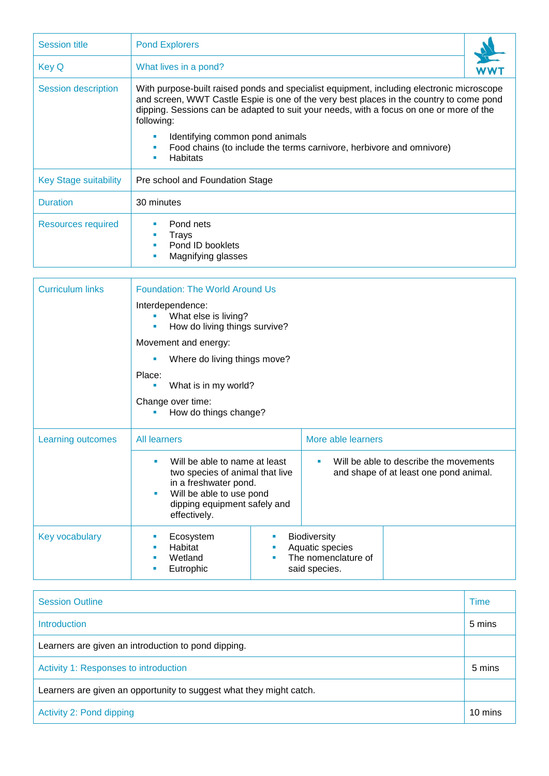| <b>Session title</b>       | <b>Pond Explorers</b>                                                                                                                                                                                                                                                                         |  |  |  |  |
|----------------------------|-----------------------------------------------------------------------------------------------------------------------------------------------------------------------------------------------------------------------------------------------------------------------------------------------|--|--|--|--|
| Key Q                      | What lives in a pond?                                                                                                                                                                                                                                                                         |  |  |  |  |
| <b>Session description</b> | With purpose-built raised ponds and specialist equipment, including electronic microscope<br>and screen, WWT Castle Espie is one of the very best places in the country to come pond<br>dipping. Sessions can be adapted to suit your needs, with a focus on one or more of the<br>following: |  |  |  |  |
|                            | Identifying common pond animals<br>Food chains (to include the terms carnivore, herbivore and omnivore)<br><b>Habitats</b>                                                                                                                                                                    |  |  |  |  |
| Key Stage suitability      | Pre school and Foundation Stage                                                                                                                                                                                                                                                               |  |  |  |  |
| <b>Duration</b>            | 30 minutes                                                                                                                                                                                                                                                                                    |  |  |  |  |
| <b>Resources required</b>  | Pond nets<br>Trays<br>$\blacksquare$<br>Pond ID booklets<br>Magnifying glasses                                                                                                                                                                                                                |  |  |  |  |

| <b>Curriculum links</b>  | <b>Foundation: The World Around Us</b>                                         |                                                                                                                              |                                                                                |                                                                                       |  |
|--------------------------|--------------------------------------------------------------------------------|------------------------------------------------------------------------------------------------------------------------------|--------------------------------------------------------------------------------|---------------------------------------------------------------------------------------|--|
|                          | Interdependence:<br>What else is living?<br>How do living things survive?<br>٠ |                                                                                                                              |                                                                                |                                                                                       |  |
|                          | Movement and energy:                                                           |                                                                                                                              |                                                                                |                                                                                       |  |
|                          | Where do living things move?<br>Place:<br>What is in my world?<br>٠            |                                                                                                                              |                                                                                |                                                                                       |  |
|                          |                                                                                |                                                                                                                              |                                                                                |                                                                                       |  |
|                          | Change over time:<br>How do things change?                                     |                                                                                                                              |                                                                                |                                                                                       |  |
| <b>Learning outcomes</b> | All learners                                                                   |                                                                                                                              | More able learners                                                             |                                                                                       |  |
|                          | in a freshwater pond.<br>effectively.                                          | Will be able to name at least<br>two species of animal that live<br>Will be able to use pond<br>dipping equipment safely and |                                                                                | Will be able to describe the movements<br>×<br>and shape of at least one pond animal. |  |
| <b>Key vocabulary</b>    | Ecosystem<br>Habitat<br>п<br>Wetland<br>Eutrophic                              | ш<br>п<br>٠                                                                                                                  | <b>Biodiversity</b><br>Aquatic species<br>The nomenclature of<br>said species. |                                                                                       |  |

| <b>Session Outline</b>                                              | <b>Time</b> |
|---------------------------------------------------------------------|-------------|
| Introduction                                                        | 5 mins      |
| Learners are given an introduction to pond dipping.                 |             |
| Activity 1: Responses to introduction                               |             |
| Learners are given an opportunity to suggest what they might catch. |             |
| Activity 2: Pond dipping                                            |             |